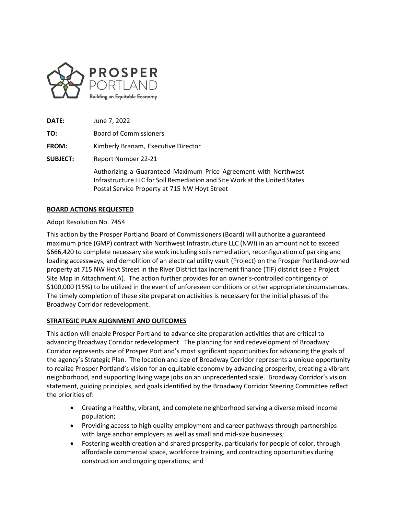

**DATE:** June 7, 2022 **TO:** Board of Commissioners **FROM:** Kimberly Branam, Executive Director **SUBJECT:** Report Number 22-21 Authorizing a Guaranteed Maximum Price Agreement with Northwest Infrastructure LLC for Soil Remediation and Site Work at the United States Postal Service Property at 715 NW Hoyt Street

# **BOARD ACTIONS REQUESTED**

### Adopt Resolution No. 7454

This action by the Prosper Portland Board of Commissioners (Board) will authorize a guaranteed maximum price (GMP) contract with Northwest Infrastructure LLC (NWI) in an amount not to exceed \$666,420 to complete necessary site work including soils remediation, reconfiguration of parking and loading accessways, and demolition of an electrical utility vault (Project) on the Prosper Portland-owned property at 715 NW Hoyt Street in the River District tax increment finance (TIF) district (see a Project Site Map in Attachment A). The action further provides for an owner's-controlled contingency of \$100,000 (15%) to be utilized in the event of unforeseen conditions or other appropriate circumstances. The timely completion of these site preparation activities is necessary for the initial phases of the Broadway Corridor redevelopment.

## **STRATEGIC PLAN ALIGNMENT AND OUTCOMES**

This action will enable Prosper Portland to advance site preparation activities that are critical to advancing Broadway Corridor redevelopment. The planning for and redevelopment of Broadway Corridor represents one of Prosper Portland's most significant opportunities for advancing the goals of the agency's Strategic Plan. The location and size of Broadway Corridor represents a unique opportunity to realize Prosper Portland's vision for an equitable economy by advancing prosperity, creating a vibrant neighborhood, and supporting living wage jobs on an unprecedented scale. Broadway Corridor's vision statement, guiding principles, and goals identified by the Broadway Corridor Steering Committee reflect the priorities of:

- Creating a healthy, vibrant, and complete neighborhood serving a diverse mixed income population;
- Providing access to high quality employment and career pathways through partnerships with large anchor employers as well as small and mid-size businesses;
- Fostering wealth creation and shared prosperity, particularly for people of color, through affordable commercial space, workforce training, and contracting opportunities during construction and ongoing operations; and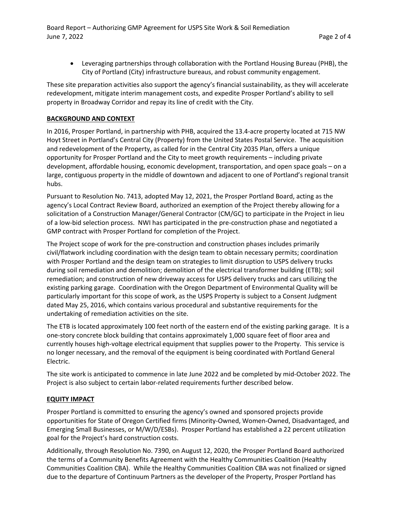• Leveraging partnerships through collaboration with the Portland Housing Bureau (PHB), the City of Portland (City) infrastructure bureaus, and robust community engagement.

These site preparation activities also support the agency's financial sustainability, as they will accelerate redevelopment, mitigate interim management costs, and expedite Prosper Portland's ability to sell property in Broadway Corridor and repay its line of credit with the City.

## **BACKGROUND AND CONTEXT**

In 2016, Prosper Portland, in partnership with PHB, acquired the 13.4-acre property located at 715 NW Hoyt Street in Portland's Central City (Property) from the United States Postal Service. The acquisition and redevelopment of the Property, as called for in the Central City 2035 Plan, offers a unique opportunity for Prosper Portland and the City to meet growth requirements – including private development, affordable housing, economic development, transportation, and open space goals – on a large, contiguous property in the middle of downtown and adjacent to one of Portland's regional transit hubs.

Pursuant to Resolution No. 7413, adopted May 12, 2021, the Prosper Portland Board, acting as the agency's Local Contract Review Board, authorized an exemption of the Project thereby allowing for a solicitation of a Construction Manager/General Contractor (CM/GC) to participate in the Project in lieu of a low-bid selection process. NWI has participated in the pre-construction phase and negotiated a GMP contract with Prosper Portland for completion of the Project.

The Project scope of work for the pre-construction and construction phases includes primarily civil/flatwork including coordination with the design team to obtain necessary permits; coordination with Prosper Portland and the design team on strategies to limit disruption to USPS delivery trucks during soil remediation and demolition; demolition of the electrical transformer building (ETB); soil remediation; and construction of new driveway access for USPS delivery trucks and cars utilizing the existing parking garage. Coordination with the Oregon Department of Environmental Quality will be particularly important for this scope of work, as the USPS Property is subject to a Consent Judgment dated May 25, 2016, which contains various procedural and substantive requirements for the undertaking of remediation activities on the site.

The ETB is located approximately 100 feet north of the eastern end of the existing parking garage. It is a one-story concrete block building that contains approximately 1,000 square feet of floor area and currently houses high-voltage electrical equipment that supplies power to the Property. This service is no longer necessary, and the removal of the equipment is being coordinated with Portland General Electric.

The site work is anticipated to commence in late June 2022 and be completed by mid-October 2022. The Project is also subject to certain labor-related requirements further described below.

## **EQUITY IMPACT**

Prosper Portland is committed to ensuring the agency's owned and sponsored projects provide opportunities for State of Oregon Certified firms (Minority-Owned, Women-Owned, Disadvantaged, and Emerging Small Businesses, or M/W/D/ESBs). Prosper Portland has established a 22 percent utilization goal for the Project's hard construction costs.

Additionally, through Resolution No. 7390, on August 12, 2020, the Prosper Portland Board authorized the terms of a Community Benefits Agreement with the Healthy Communities Coalition (Healthy Communities Coalition CBA). While the Healthy Communities Coalition CBA was not finalized or signed due to the departure of Continuum Partners as the developer of the Property, Prosper Portland has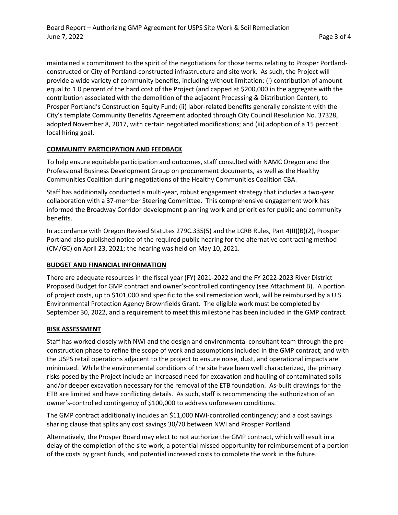maintained a commitment to the spirit of the negotiations for those terms relating to Prosper Portlandconstructed or City of Portland-constructed infrastructure and site work. As such, the Project will provide a wide variety of community benefits, including without limitation: (i) contribution of amount equal to 1.0 percent of the hard cost of the Project (and capped at \$200,000 in the aggregate with the contribution associated with the demolition of the adjacent Processing & Distribution Center), to Prosper Portland's Construction Equity Fund; (ii) labor-related benefits generally consistent with the City's template Community Benefits Agreement adopted through City Council Resolution No. 37328, adopted November 8, 2017, with certain negotiated modifications; and (iii) adoption of a 15 percent local hiring goal.

# **COMMUNITY PARTICIPATION AND FEEDBACK**

To help ensure equitable participation and outcomes, staff consulted with NAMC Oregon and the Professional Business Development Group on procurement documents, as well as the Healthy Communities Coalition during negotiations of the Healthy Communities Coalition CBA.

Staff has additionally conducted a multi-year, robust engagement strategy that includes a two-year collaboration with a 37-member Steering Committee. This comprehensive engagement work has informed the Broadway Corridor development planning work and priorities for public and community benefits.

In accordance with Oregon Revised Statutes 279C.335(5) and the LCRB Rules, Part 4(II)(B)(2), Prosper Portland also published notice of the required public hearing for the alternative contracting method (CM/GC) on April 23, 2021; the hearing was held on May 10, 2021.

#### **BUDGET AND FINANCIAL INFORMATION**

There are adequate resources in the fiscal year (FY) 2021-2022 and the FY 2022-2023 River District Proposed Budget for GMP contract and owner's-controlled contingency (see Attachment B). A portion of project costs, up to \$101,000 and specific to the soil remediation work, will be reimbursed by a U.S. Environmental Protection Agency Brownfields Grant. The eligible work must be completed by September 30, 2022, and a requirement to meet this milestone has been included in the GMP contract.

#### **RISK ASSESSMENT**

Staff has worked closely with NWI and the design and environmental consultant team through the preconstruction phase to refine the scope of work and assumptions included in the GMP contract; and with the USPS retail operations adjacent to the project to ensure noise, dust, and operational impacts are minimized. While the environmental conditions of the site have been well characterized, the primary risks posed by the Project include an increased need for excavation and hauling of contaminated soils and/or deeper excavation necessary for the removal of the ETB foundation. As-built drawings for the ETB are limited and have conflicting details. As such, staff is recommending the authorization of an owner's-controlled contingency of \$100,000 to address unforeseen conditions.

The GMP contract additionally incudes an \$11,000 NWI-controlled contingency; and a cost savings sharing clause that splits any cost savings 30/70 between NWI and Prosper Portland.

Alternatively, the Prosper Board may elect to not authorize the GMP contract, which will result in a delay of the completion of the site work, a potential missed opportunity for reimbursement of a portion of the costs by grant funds, and potential increased costs to complete the work in the future.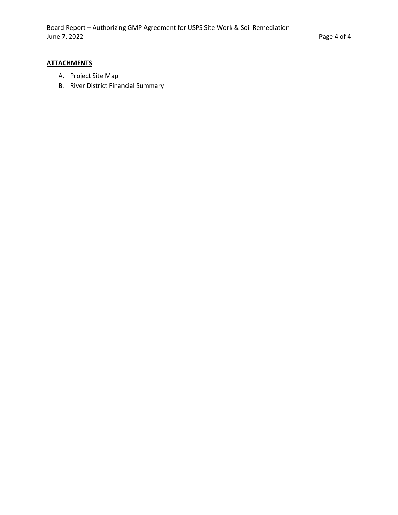# **ATTACHMENTS**

- A. Project Site Map
- B. River District Financial Summary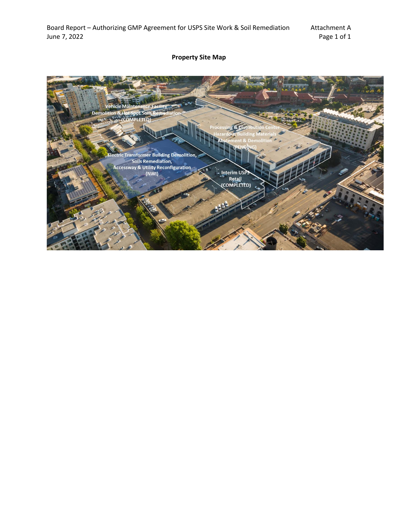# **Property Site Map**